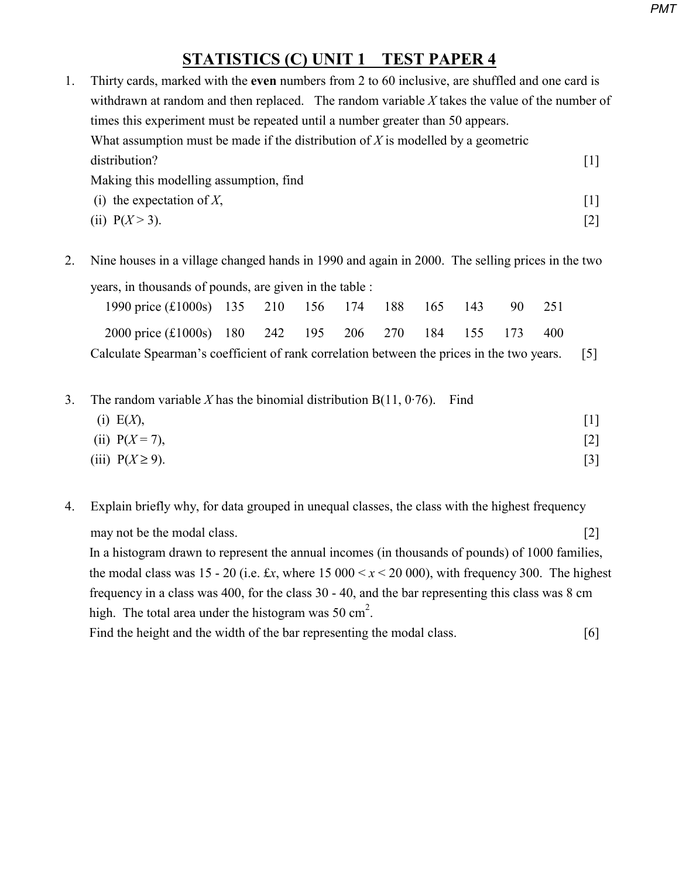## **STATISTICS (C) UNIT 1 TEST PAPER 4**

| Thirty cards, marked with the even numbers from 2 to 60 inclusive, are shuffled and one card is |                                                                                               |                   |  |  |  |  |  |  |  |
|-------------------------------------------------------------------------------------------------|-----------------------------------------------------------------------------------------------|-------------------|--|--|--|--|--|--|--|
|                                                                                                 | withdrawn at random and then replaced. The random variable X takes the value of the number of |                   |  |  |  |  |  |  |  |
|                                                                                                 | times this experiment must be repeated until a number greater than 50 appears.                |                   |  |  |  |  |  |  |  |
| What assumption must be made if the distribution of $X$ is modelled by a geometric              |                                                                                               |                   |  |  |  |  |  |  |  |
|                                                                                                 | distribution?                                                                                 | $\lceil 1 \rceil$ |  |  |  |  |  |  |  |
|                                                                                                 | Making this modelling assumption, find                                                        |                   |  |  |  |  |  |  |  |
|                                                                                                 | (i) the expectation of $X$ ,                                                                  | $\lceil 1 \rceil$ |  |  |  |  |  |  |  |
|                                                                                                 | (ii) $P(X > 3)$ .                                                                             | $[2]$             |  |  |  |  |  |  |  |
|                                                                                                 |                                                                                               |                   |  |  |  |  |  |  |  |

2. Nine houses in a village changed hands in 1990 and again in 2000. The selling prices in the two years, in thousands of pounds, are given in the table :

| 1990 price (£1000s) 135 210 156 174 188 165 143                                               |  |  |  |  |  |  |  | -90- | 251 |  |
|-----------------------------------------------------------------------------------------------|--|--|--|--|--|--|--|------|-----|--|
| 2000 price (£1000s) 180 242 195 206 270 184 155 173                                           |  |  |  |  |  |  |  |      | 400 |  |
| Calculate Spearman's coefficient of rank correlation between the prices in the two years. [5] |  |  |  |  |  |  |  |      |     |  |

3. The random variable  $X$  has the binomial distribution B(11, 0.76). Find

| (i) E(X),            | $[1]$ |
|----------------------|-------|
| (ii) $P(X = 7)$ ,    | $[2]$ |
| (iii) $P(X \ge 9)$ . | $[3]$ |

4. Explain briefly why, for data grouped in unequal classes, the class with the highest frequency may not be the modal class. [2] In a histogram drawn to represent the annual incomes (in thousands of pounds) of 1000 families, the modal class was 15 - 20 (i.e.  $\pounds x$ , where 15 000  $\lt x \lt 20$  000), with frequency 300. The highest frequency in a class was 400, for the class 30 - 40, and the bar representing this class was 8 cm high. The total area under the histogram was 50  $\text{cm}^2$ . Find the height and the width of the bar representing the modal class. [6]

*PMT*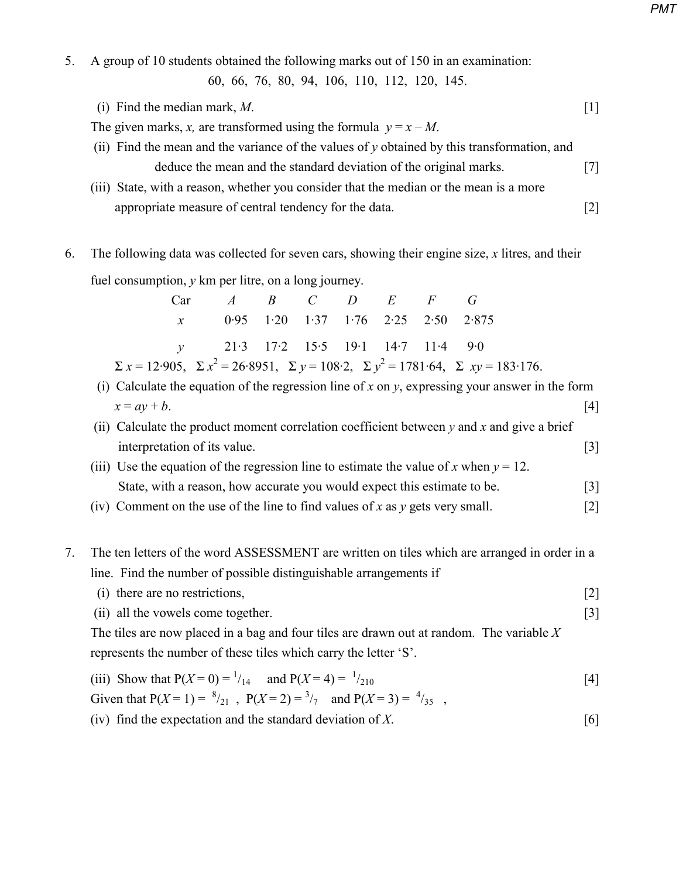5. A group of 10 students obtained the following marks out of 150 in an examination:

60, 66, 76, 80, 94, 106, 110, 112, 120, 145.

(i) Find the median mark,  $M$ . [1]

The given marks, *x*, are transformed using the formula  $y = x - M$ .

- (ii) Find the mean and the variance of the values of *y* obtained by this transformation, and deduce the mean and the standard deviation of the original marks. [7]
- (iii) State, with a reason, whether you consider that the median or the mean is a more appropriate measure of central tendency for the data. [2]
- 6. The following data was collected for seven cars, showing their engine size, *x* litres, and their fuel consumption, *y* km per litre, on a long journey.

| $Car \t A \t B \t C \t D \t E \t F \t G$ |  |  |                                                                                                                      |
|------------------------------------------|--|--|----------------------------------------------------------------------------------------------------------------------|
| $x$ 0.95 1.20 1.37 1.76 2.25 2.50 2.875  |  |  |                                                                                                                      |
| $v = 21.3$ 17.2 15.5 19.1 14.7 11.4 9.0  |  |  |                                                                                                                      |
|                                          |  |  | $\Sigma x = 12.905$ , $\Sigma x^2 = 26.8951$ , $\Sigma y = 108.2$ , $\Sigma y^2 = 1781.64$ , $\Sigma xy = 183.176$ . |

- (i) Calculate the equation of the regression line of *x* on  $v$ , expressing your answer in the form  $x = ay + b$ . [4]
	- (ii) Calculate the product moment correlation coefficient between *y* and *x* and give a brief interpretation of its value. [3]
	- (iii) Use the equation of the regression line to estimate the value of *x* when  $y = 12$ . State, with a reason, how accurate you would expect this estimate to be. [3]
	- (iv) Comment on the use of the line to find values of *x* as *y* gets very small. [2]

## 7. The ten letters of the word ASSESSMENT are written on tiles which are arranged in order in a line. Find the number of possible distinguishable arrangements if

- (i) there are no restrictions, [2]
- (ii) all the vowels come together. [3]

 The tiles are now placed in a bag and four tiles are drawn out at random. The variable *X* represents the number of these tiles which carry the letter 'S'.

(iii) Show that  $P(X=0) = \frac{1}{14}$  and  $P(X=4) = \frac{1}{14}$  $/_{210}$  [4] Given that  $P(X=1) = \frac{8}{21}$ ,  $P(X=2) = \frac{3}{7}$  and  $P(X=3) = \frac{4}{35}$ , (iv) find the expectation and the standard deviation of  $X$ . [6]